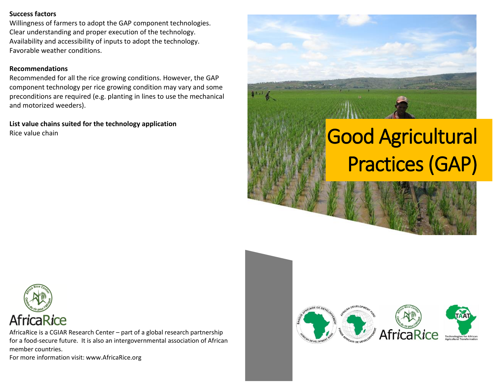## **Success factors**

Willingness of farmers to adopt the GAP component technologies. Clear understanding and proper execution of the technology. Availability and accessibility of inputs to adopt the technology. Favorable weather conditions.

# **Recommendations**

Recommended for all the rice growing conditions. However, the GAP component technology per rice growing condition may vary and some preconditions are required (e.g. planting in lines to use the mechanical and motorized weeders).

**List value chains suited for the technology application** Rice value chain





AfricaRice is a CGIAR Research Center – part of a global research partnership for a food-secure future. It is also an intergovernmental association of African member countries.

For more information visit: www.AfricaRice.org